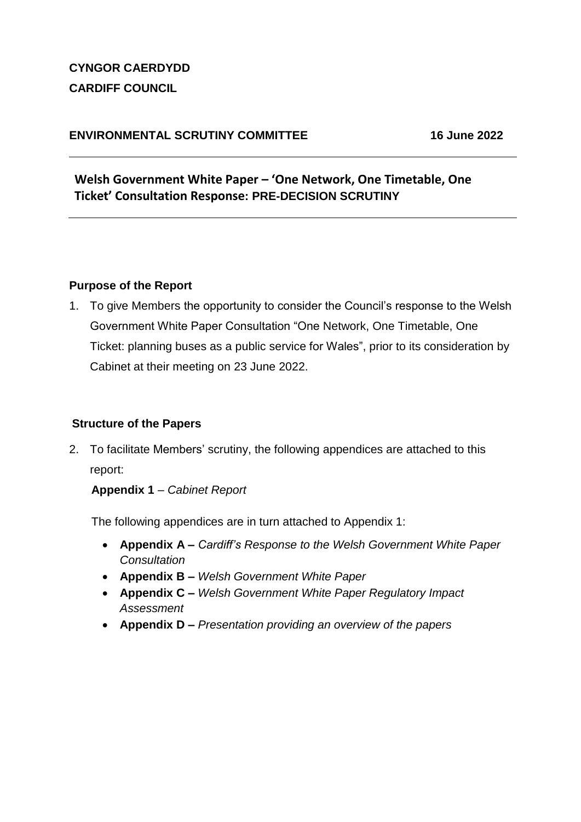## **CYNGOR CAERDYDD CARDIFF COUNCIL**

## **ENVIRONMENTAL SCRUTINY COMMITTEE 16 June 2022**

**Welsh Government White Paper – 'One Network, One Timetable, One Ticket' Consultation Response: PRE-DECISION SCRUTINY**

#### **Purpose of the Report**

1. To give Members the opportunity to consider the Council's response to the Welsh Government White Paper Consultation "One Network, One Timetable, One Ticket: planning buses as a public service for Wales", prior to its consideration by Cabinet at their meeting on 23 June 2022.

#### **Structure of the Papers**

2. To facilitate Members' scrutiny, the following appendices are attached to this report:

#### **Appendix 1** – *Cabinet Report*

The following appendices are in turn attached to Appendix 1:

- **Appendix A –** *Cardiff's Response to the Welsh Government White Paper Consultation*
- **Appendix B –** *Welsh Government White Paper*
- **Appendix C –** *Welsh Government White Paper Regulatory Impact Assessment*
- **Appendix D –** *Presentation providing an overview of the papers*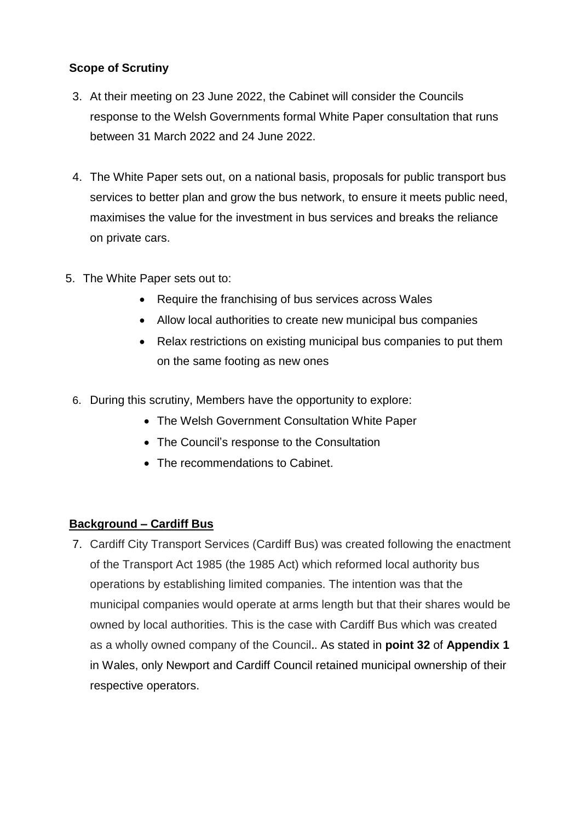## **Scope of Scrutiny**

- 3. At their meeting on 23 June 2022, the Cabinet will consider the Councils response to the Welsh Governments formal White Paper consultation that runs between 31 March 2022 and 24 June 2022.
- 4. The White Paper sets out, on a national basis, proposals for public transport bus services to better plan and grow the bus network, to ensure it meets public need, maximises the value for the investment in bus services and breaks the reliance on private cars.
- 5. The White Paper sets out to:
	- Require the franchising of bus services across Wales
	- Allow local authorities to create new municipal bus companies
	- Relax restrictions on existing municipal bus companies to put them on the same footing as new ones
	- 6. During this scrutiny, Members have the opportunity to explore:
		- The Welsh Government Consultation White Paper
		- The Council's response to the Consultation
		- The recommendations to Cabinet.

#### **Background – Cardiff Bus**

7. Cardiff City Transport Services (Cardiff Bus) was created following the enactment of the Transport Act 1985 (the 1985 Act) which reformed local authority bus operations by establishing limited companies. The intention was that the municipal companies would operate at arms length but that their shares would be owned by local authorities. This is the case with Cardiff Bus which was created as a wholly owned company of the Council**.**. As stated in **point 32** of **Appendix 1** in Wales, only Newport and Cardiff Council retained municipal ownership of their respective operators.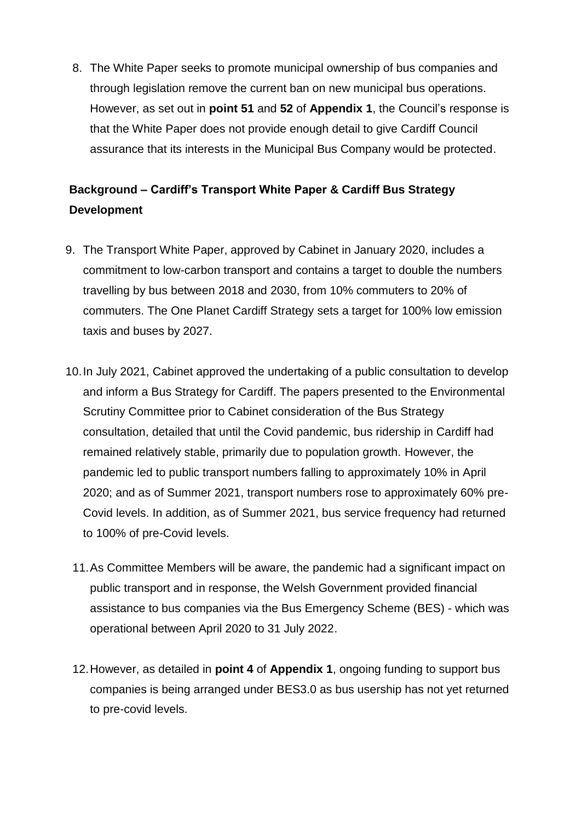8. The White Paper seeks to promote municipal ownership of bus companies and through legislation remove the current ban on new municipal bus operations. However, as set out in **point 51** and **52** of **Appendix 1**, the Council's response is that the White Paper does not provide enough detail to give Cardiff Council assurance that its interests in the Municipal Bus Company would be protected.

# **Background – Cardiff's Transport White Paper & Cardiff Bus Strategy Development**

- 9. The Transport White Paper, approved by Cabinet in January 2020, includes a commitment to low-carbon transport and contains a target to double the numbers travelling by bus between 2018 and 2030, from 10% commuters to 20% of commuters. The One Planet Cardiff Strategy sets a target for 100% low emission taxis and buses by 2027.
- 10.In July 2021, Cabinet approved the undertaking of a public consultation to develop and inform a Bus Strategy for Cardiff. The papers presented to the Environmental Scrutiny Committee prior to Cabinet consideration of the Bus Strategy consultation, detailed that until the Covid pandemic, bus ridership in Cardiff had remained relatively stable, primarily due to population growth. However, the pandemic led to public transport numbers falling to approximately 10% in April 2020; and as of Summer 2021, transport numbers rose to approximately 60% pre-Covid levels. In addition, as of Summer 2021, bus service frequency had returned to 100% of pre-Covid levels.
	- 11.As Committee Members will be aware, the pandemic had a significant impact on public transport and in response, the Welsh Government provided financial assistance to bus companies via the Bus Emergency Scheme (BES) - which was operational between April 2020 to 31 July 2022.
	- 12.However, as detailed in **point 4** of **Appendix 1**, ongoing funding to support bus companies is being arranged under BES3.0 as bus usership has not yet returned to pre-covid levels.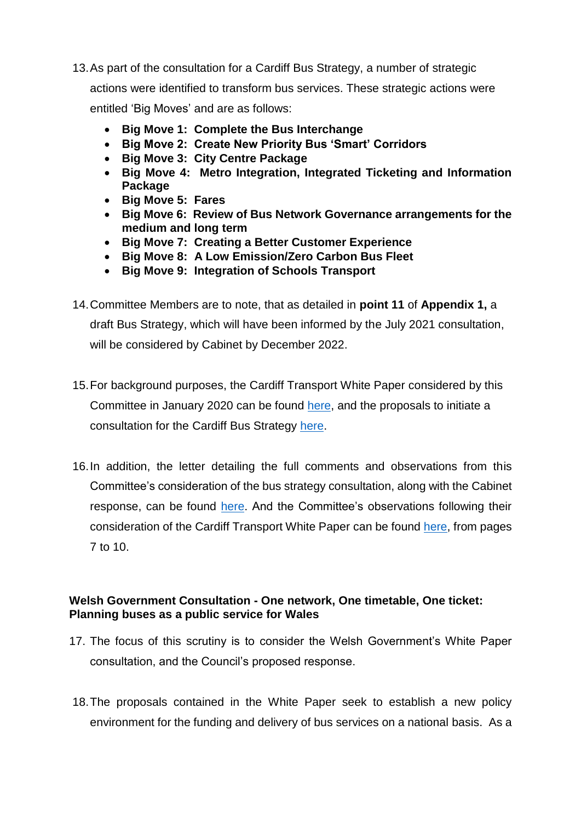- 13.As part of the consultation for a Cardiff Bus Strategy, a number of strategic actions were identified to transform bus services. These strategic actions were entitled 'Big Moves' and are as follows:
	- **Big Move 1: Complete the Bus Interchange**
	- **Big Move 2: Create New Priority Bus 'Smart' Corridors**
	- **Big Move 3: City Centre Package**
	- **Big Move 4: Metro Integration, Integrated Ticketing and Information Package**
	- **Big Move 5: Fares**
	- **Big Move 6: Review of Bus Network Governance arrangements for the medium and long term**
	- **Big Move 7: Creating a Better Customer Experience**
	- **Big Move 8: A Low Emission/Zero Carbon Bus Fleet**
	- **Big Move 9: Integration of Schools Transport**
- 14.Committee Members are to note, that as detailed in **point 11** of **Appendix 1,** a draft Bus Strategy, which will have been informed by the July 2021 consultation, will be considered by Cabinet by December 2022.
- 15.For background purposes, the Cardiff Transport White Paper considered by this Committee in January 2020 can be found [here,](https://cardiff.moderngov.co.uk/documents/s37195/Cabinet%2023%20January%202020%20Transport%20White%20Paper%20App%201.pdf?LLL=0) and the proposals to initiate a consultation for the Cardiff Bus Strategy [here.](https://cardiff.moderngov.co.uk/documents/s50351/Cabinet%2015%20July%202021%20Bus%20Strategy%20App.pdf?LLL=0)
- 16.In addition, the letter detailing the full comments and observations from this Committee's consideration of the bus strategy consultation, along with the Cabinet response, can be found [here.](https://cardiff.moderngov.co.uk/documents/b16682/Correspondence%20following%20the%20Committee%20Meeting%2006th-Jul-2021%2016.30%20Environmental%20Scrutiny%20Committe.pdf?T=9&LLL=0) And the Committee's observations following their consideration of the Cardiff Transport White Paper can be found [here,](https://cardiff.moderngov.co.uk/documents/b12789/Correspondence%20Following%20Committee%20Meeting%2021st-Jan-2020%2016.30%20Environmental%20Scrutiny%20Committee.pdf?T=9&LLL=0) from pages 7 to 10.

#### **Welsh Government Consultation - One network, One timetable, One ticket: Planning buses as a public service for Wales**

- 17. The focus of this scrutiny is to consider the Welsh Government's White Paper consultation, and the Council's proposed response.
- 18.The proposals contained in the White Paper seek to establish a new policy environment for the funding and delivery of bus services on a national basis. As a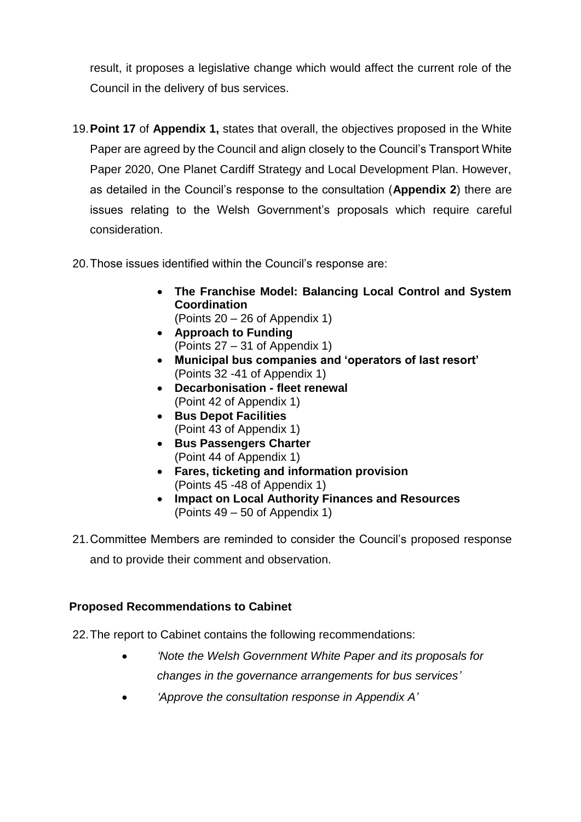result, it proposes a legislative change which would affect the current role of the Council in the delivery of bus services.

- 19.**Point 17** of **Appendix 1,** states that overall, the objectives proposed in the White Paper are agreed by the Council and align closely to the Council's Transport White Paper 2020, One Planet Cardiff Strategy and Local Development Plan. However, as detailed in the Council's response to the consultation (**Appendix 2**) there are issues relating to the Welsh Government's proposals which require careful consideration.
- 20.Those issues identified within the Council's response are:
	- **The Franchise Model: Balancing Local Control and System Coordination** (Points 20 – 26 of Appendix 1)
	- **Approach to Funding** (Points 27 – 31 of Appendix 1)
	- **Municipal bus companies and 'operators of last resort'** (Points 32 -41 of Appendix 1)
	- **Decarbonisation - fleet renewal** (Point 42 of Appendix 1)
	- **Bus Depot Facilities** (Point 43 of Appendix 1)
	- **Bus Passengers Charter** (Point 44 of Appendix 1)
	- **Fares, ticketing and information provision**  (Points 45 -48 of Appendix 1)
	- **Impact on Local Authority Finances and Resources** (Points 49 – 50 of Appendix 1)
- 21.Committee Members are reminded to consider the Council's proposed response and to provide their comment and observation.

#### **Proposed Recommendations to Cabinet**

22.The report to Cabinet contains the following recommendations:

- *'Note the Welsh Government White Paper and its proposals for changes in the governance arrangements for bus services'*
- *'Approve the consultation response in Appendix A'*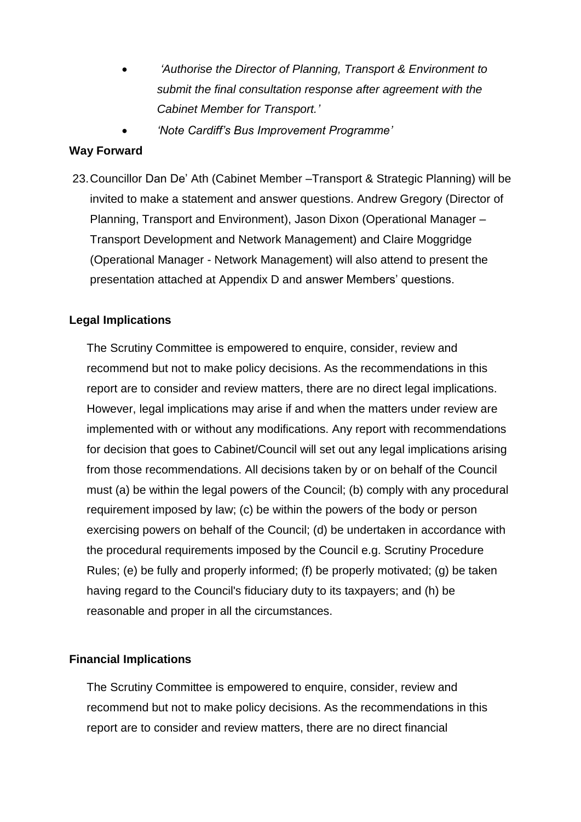- *'Authorise the Director of Planning, Transport & Environment to submit the final consultation response after agreement with the Cabinet Member for Transport.'*
- *'Note Cardiff's Bus Improvement Programme'*

#### **Way Forward**

23.Councillor Dan De' Ath (Cabinet Member –Transport & Strategic Planning) will be invited to make a statement and answer questions. Andrew Gregory (Director of Planning, Transport and Environment), Jason Dixon (Operational Manager – Transport Development and Network Management) and Claire Moggridge (Operational Manager - Network Management) will also attend to present the presentation attached at Appendix D and answer Members' questions.

## **Legal Implications**

The Scrutiny Committee is empowered to enquire, consider, review and recommend but not to make policy decisions. As the recommendations in this report are to consider and review matters, there are no direct legal implications. However, legal implications may arise if and when the matters under review are implemented with or without any modifications. Any report with recommendations for decision that goes to Cabinet/Council will set out any legal implications arising from those recommendations. All decisions taken by or on behalf of the Council must (a) be within the legal powers of the Council; (b) comply with any procedural requirement imposed by law; (c) be within the powers of the body or person exercising powers on behalf of the Council; (d) be undertaken in accordance with the procedural requirements imposed by the Council e.g. Scrutiny Procedure Rules; (e) be fully and properly informed; (f) be properly motivated; (g) be taken having regard to the Council's fiduciary duty to its taxpayers; and (h) be reasonable and proper in all the circumstances.

#### **Financial Implications**

The Scrutiny Committee is empowered to enquire, consider, review and recommend but not to make policy decisions. As the recommendations in this report are to consider and review matters, there are no direct financial